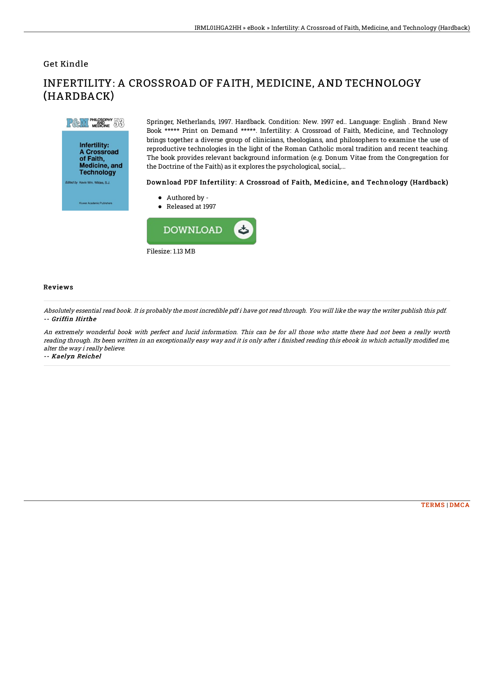## Get Kindle

(HARDBACK)



A Crossroad of Faith,<br>Medicine, and **Technology** Wildes, S.J.

Springer, Netherlands, 1997. Hardback. Condition: New. 1997 ed.. Language: English . Brand New Book \*\*\*\*\* Print on Demand \*\*\*\*\*. Infertility: A Crossroad of Faith, Medicine, and Technology brings together a diverse group of clinicians, theologians, and philosophers to examine the use of reproductive technologies in the light of the Roman Catholic moral tradition and recent teaching. The book provides relevant background information (e.g. Donum Vitae from the Congregation for the Doctrine of the Faith) as it explores the psychological, social,...

## Download PDF Infertility: A Crossroad of Faith, Medicine, and Technology (Hardback)

- Authored by -
- Released at 1997



INFERTILITY: A CROSSROAD OF FAITH, MEDICINE, AND TECHNOLOGY

## Reviews

Absolutely essential read book. It is probably the most incredible pdf i have got read through. You will like the way the writer publish this pdf. -- Griffin Hirthe

An extremely wonderful book with perfect and lucid information. This can be for all those who statte there had not been <sup>a</sup> really worth reading through. Its been written in an exceptionally easy way and it is only after i finished reading this ebook in which actually modified me, alter the way i really believe.

-- Kaelyn Reichel